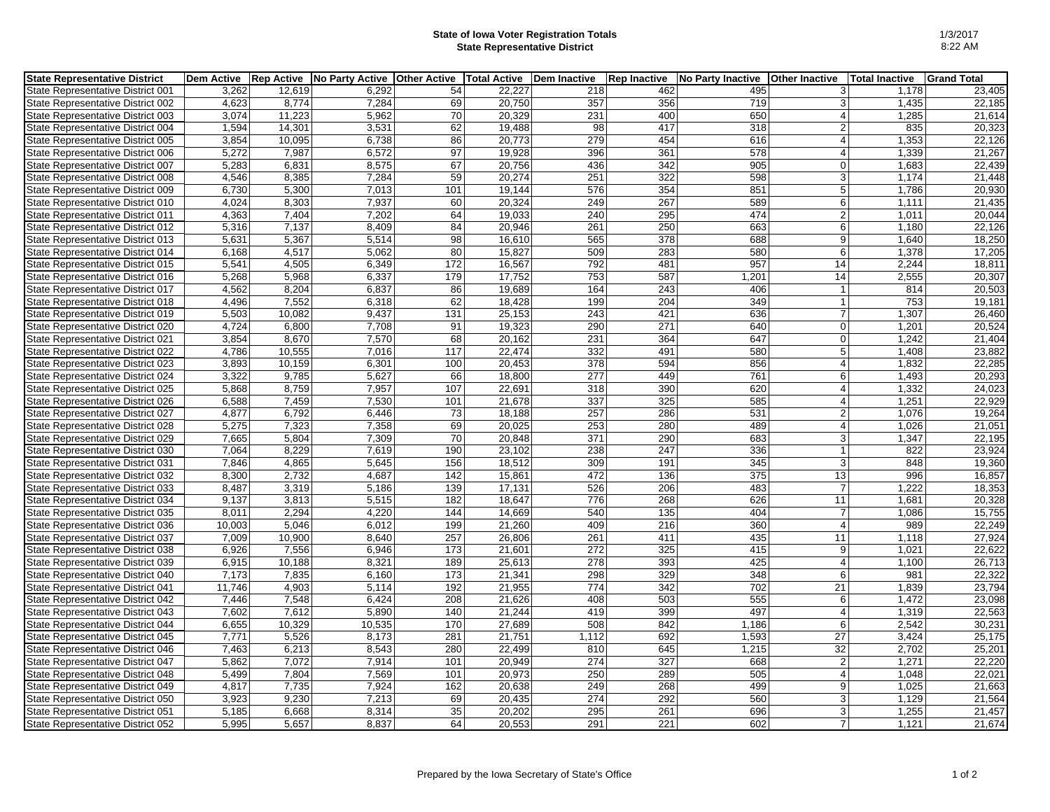## **State of Iowa Voter Registration Totals State Representative District**

| <b>State Representative District</b>     | <b>Dem Active</b> | <b>Rep Active</b> | No Party Active | <b>Other Active</b> | <b>Total Active</b> | <b>Dem Inactive</b> | <b>Rep Inactive</b> | No Party Inactive | <b>Other Inactive</b> | <b>Total Inactive</b> | <b>Grand Total</b> |
|------------------------------------------|-------------------|-------------------|-----------------|---------------------|---------------------|---------------------|---------------------|-------------------|-----------------------|-----------------------|--------------------|
| State Representative District 001        | 3.262             | 12,619            | 6.292           | 54                  | 22,227              | 218                 | 462                 | 495               | 31                    | 1,178                 | 23,405             |
| State Representative District 002        | 4,623             | 8,774             | 7,284           | 69                  | 20,750              | 357                 | 356                 | 719               | 3                     | 1,435                 | 22,185             |
| State Representative District 003        | 3,074             | 11,223            | 5,962           | 70                  | 20,329              | 231                 | 400                 | 650               | $\vert$               | 1,285                 | 21,614             |
| State Representative District 004        | 1,594             | 14,301            | 3,531           | 62                  | 19,488              | 98                  | 417                 | 318               | 2 <sub>1</sub>        | 835                   | 20,323             |
| State Representative District 005        | 3,854             | 10,095            | 6,738           | 86                  | 20,773              | 279                 | 454                 | 616               | $\vert$               | 1,353                 | 22,126             |
| State Representative District 006        | 5,272             | 7,987             | 6,572           | 97                  | 19,928              | 396                 | 361                 | 578               | 4 <sup>1</sup>        | 1,339                 | 21,267             |
| State Representative District 007        | 5,283             | 6,831             | 8,575           | 67                  | 20,756              | 436                 | 342                 | 905               | $\overline{0}$        | 1,683                 | 22,439             |
| State Representative District 008        | 4,546             | 8,385             | 7,284           | 59                  | 20,274              | 251                 | 322                 | 598               | 3 <sup>1</sup>        | 1,174                 | 21,448             |
| State Representative District 009        | 6,730             | 5,300             | 7,013           | 101                 | 19,144              | 576                 | 354                 | 851               | 5 <sup>1</sup>        | 1,786                 | 20,930             |
| State Representative District 010        | 4,024             | 8,303             | 7,937           | 60                  | 20,324              | 249                 | 267                 | 589               | 6                     | 1,111                 | 21,435             |
| State Representative District 011        | 4,363             | 7,404             | 7,202           | 64                  | 19,033              | 240                 | 295                 | 474               | 2                     | 1,011                 | 20,044             |
| State Representative District 012        | 5,316             | 7,137             | 8,409           | 84                  | 20,946              | 261                 | 250                 | 663               | $6 \mid$              | 1,180                 | 22,126             |
| State Representative District 013        | 5,631             | 5,367             | 5,514           | 98                  | 16,610              | 565                 | 378                 | 688               | $\overline{9}$        | 1,640                 | 18,250             |
| State Representative District 014        | 6,168             | 4,517             | 5,062           | 80                  | 15,827              | 509                 | 283                 | 580               | 6                     | 1,378                 | 17,205             |
| State Representative District 015        | 5,541             | 4,505             | 6,349           | 172                 | 16,567              | 792                 | 481                 | 957               | 14                    | 2,244                 | 18,811             |
| State Representative District 016        | 5,268             | 5,968             | 6,337           | 179                 | 17,752              | 753                 | 587                 | 1,201             | 14                    | 2,555                 | 20,307             |
| State Representative District 017        | 4,562             | 8,204             | 6,837           | 86                  | 19,689              | 164                 | 243                 | 406               | $\vert$ 1             | 814                   | 20,503             |
| State Representative District 018        | 4,496             | 7,552             | 6,318           | 62                  | 18,428              | 199                 | 204                 | 349               | 1                     | 753                   | 19,181             |
| State Representative District 019        | 5,503             | 10,082            | 9,437           | 131                 | 25,153              | 243                 | 421                 | 636               | $\overline{7}$        | 1,307                 | 26,460             |
| State Representative District 020        | 4,724             | 6,800             | 7,708           | 91                  | 19,323              | 290                 | 271                 | 640               | $\overline{0}$        | 1,201                 | 20,524             |
| <b>State Representative District 021</b> | 3,854             | 8,670             | 7,570           | 68                  | 20,162              | 231                 | 364                 | 647               | $\overline{0}$        | 1,242                 | 21,404             |
| State Representative District 022        | 4,786             | 10,555            | 7,016           | 117                 | 22,474              | 332                 | 491                 | 580               | 5 <sup>1</sup>        | 1,408                 | 23,882             |
| State Representative District 023        | 3.893             | 10,159            | 6,301           | 100                 | 20,453              | 378                 | 594                 | 856               | 4 <sup>1</sup>        | 1,832                 | 22,285             |
| State Representative District 024        | 3,322             | 9,785             | 5,627           | 66                  | 18,800              | 277                 | 449                 | 761               | 6 <sup>1</sup>        | 1,493                 | 20,293             |
| State Representative District 025        | 5,868             | 8,759             | 7,957           | 107                 | 22,691              | 318                 | 390                 | 620               | $\vert$               | 1,332                 | 24,023             |
| State Representative District 026        | 6,588             | 7,459             | 7,530           | 101                 | 21,678              | 337                 | 325                 | 585               | $\vert$               | 1,251                 | 22,929             |
| State Representative District 027        | 4,877             | 6,792             | 6,446           | 73                  | 18,188              | 257                 | 286                 | 531               | 2 <sub>1</sub>        | 1,076                 | 19,264             |
| State Representative District 028        | 5,275             | 7,323             | 7,358           | 69                  | 20,025              | 253                 | 280                 | 489               | $\vert$               | 1,026                 | 21,051             |
| State Representative District 029        | 7,665             | 5,804             | 7,309           | 70                  | 20,848              | 371                 | 290                 | 683               | 3 <sup>1</sup>        | 1,347                 | 22,195             |
| State Representative District 030        | 7,064             | 8,229             | 7,619           | 190                 | 23,102              | 238                 | 247                 | 336               | $\mathbf{1}$          | 822                   | 23,924             |
| State Representative District 031        | 7,846             | 4,865             | 5,645           | 156                 | 18,512              | 309                 | 191                 | 345               | 3 <sup>1</sup>        | 848                   | 19,360             |
| State Representative District 032        | 8,300             | 2,732             | 4,687           | 142                 | 15,861              | 472                 | 136                 | 375               | 13                    | 996                   | 16,857             |
| State Representative District 033        | 8,487             | 3,319             | 5,186           | 139                 | 17,131              | 526                 | 206                 | 483               | $\overline{7}$        | 1,222                 | 18,353             |
| State Representative District 034        | 9,137             | 3,813             | 5,515           | 182                 | 18,647              | 776                 | 268                 | 626               | 11                    | 1,681                 | 20,328             |
| State Representative District 035        | 8,011             | 2,294             | 4.220           | 144                 | 14,669              | 540                 | 135                 | 404               | $\overline{7}$        | 1,086                 | 15,755             |
| State Representative District 036        | 10,003            | 5,046             | 6,012           | 199                 | 21,260              | 409                 | 216                 | 360               | $\vert$               | 989                   | 22,249             |
| State Representative District 037        | 7.009             | 10,900            | 8.640           | 257                 | 26,806              | 261                 | 411                 | 435               | 11                    | 1,118                 | 27,924             |
| State Representative District 038        | 6,926             | 7,556             | 6,946           | 173                 | 21,601              | 272                 | 325                 | 415               | 9                     | 1,021                 | 22,622             |
| State Representative District 039        | 6,915             | 10,188            | 8,321           | 189                 | 25,613              | 278                 | 393                 | 425               | 4 <sup>1</sup>        | 1,100                 | 26,713             |
| State Representative District 040        | 7,173             | 7,835             | 6,160           | 173                 | 21,341              | 298                 | 329                 | 348               | $6 \mid$              | 981                   | 22,322             |
| State Representative District 041        | 11,746            | 4,903             | 5,114           | 192                 | 21,955              | 774                 | $\overline{342}$    | 702               | $\overline{21}$       | 1,839                 | 23,794             |
| State Representative District 042        | 7.446             | 7.548             | 6.424           | 208                 | 21,626              | 408                 | 503                 | 555               | $6 \mid$              | 1,472                 | 23,098             |
| State Representative District 043        | 7,602             | 7,612             | 5,890           | 140                 | 21,244              | 419                 | 399                 | 497               | $\vert$               | 1,319                 | 22,563             |
| State Representative District 044        | 6,655             | 10,329            | 10,535          | 170                 | 27,689              | 508                 | 842                 | 1,186             | 6                     | 2,542                 | 30,231             |
| State Representative District 045        | 7,771             | 5,526             | 8,173           | 281                 | 21,751              | 1,112               | 692                 | 1,593             | 27                    | 3,424                 | 25,175             |
| State Representative District 046        | 7,463             | 6,213             | 8,543           | 280                 | 22,499              | 810                 | 645                 | 1,215             | $\overline{32}$       | 2,702                 | 25,201             |
| <b>State Representative District 047</b> | 5,862             | 7,072             | 7,914           | 101                 | 20,949              | 274                 | 327                 | 668               | $\overline{2}$        | 1,271                 | 22,220             |
| State Representative District 048        | 5,499             | 7,804             | 7,569           | 101                 | 20,973              | 250                 | 289                 | 505               | $\vert$               | 1,048                 | 22,021             |
| State Representative District 049        | 4,817             | 7,735             | 7,924           | 162                 | 20,638              | 249                 | 268                 | 499               | 9 <sup>1</sup>        | 1,025                 | 21,663             |
| State Representative District 050        | 3,923             | 9,230             | 7,213           | 69                  | 20,435              | 274                 | 292                 | 560               | 3                     | 1,129                 | 21,564             |
| State Representative District 051        | 5,185             | 6,668             | 8,314           | 35                  | 20,202              | 295                 | 261                 | 696               | 3                     | 1,255                 | 21,457             |
| State Representative District 052        | 5,995             | 5,657             | 8,837           | 64                  | 20,553              | 291                 | 221                 | 602               | 7                     | 1,121                 | 21,674             |